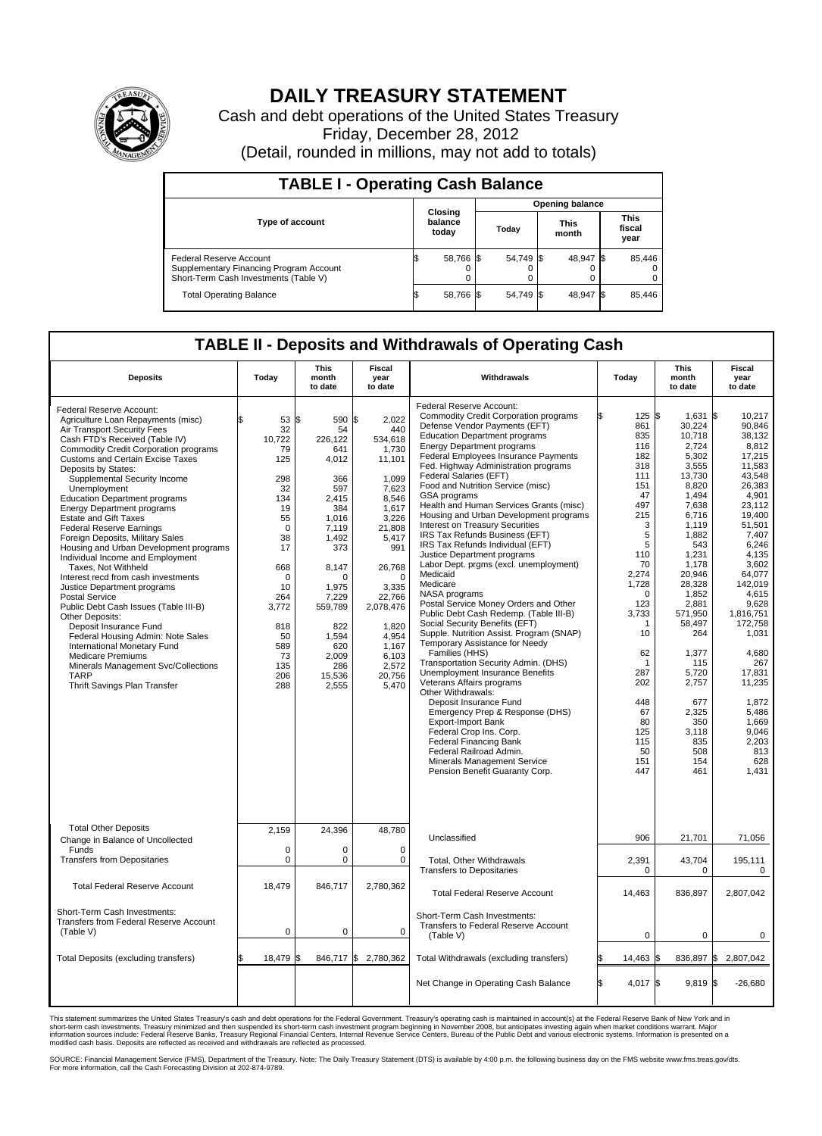

## **DAILY TREASURY STATEMENT**

Cash and debt operations of the United States Treasury Friday, December 28, 2012 (Detail, rounded in millions, may not add to totals)

| <b>TABLE I - Operating Cash Balance</b>                                                                     |                             |           |                        |           |                      |                |                               |        |
|-------------------------------------------------------------------------------------------------------------|-----------------------------|-----------|------------------------|-----------|----------------------|----------------|-------------------------------|--------|
|                                                                                                             | Closing<br>balance<br>today |           | <b>Opening balance</b> |           |                      |                |                               |        |
| <b>Type of account</b>                                                                                      |                             |           | Today                  |           | <b>This</b><br>month |                | <b>This</b><br>fiscal<br>year |        |
| Federal Reserve Account<br>Supplementary Financing Program Account<br>Short-Term Cash Investments (Table V) |                             | 58,766 \$ |                        | 54,749 \$ |                      | 48,947 \$<br>0 |                               | 85,446 |
| <b>Total Operating Balance</b>                                                                              |                             | 58,766 \$ |                        | 54.749 \$ |                      | 48,947         | - IS                          | 85,446 |

## **TABLE II - Deposits and Withdrawals of Operating Cash**

| <b>Deposits</b>                                                                                                                                                                                                                                                                                                                                                                                                                                                                                                                                                                                                                                                                                                                                                                                                                                                                                                                                                       | Todav                                                                                                                                                                                 | <b>This</b><br>month<br>to date                                                                                                                                                                           | Fiscal<br>vear<br>to date                                                                                                                                                                                                                     | Withdrawals                                                                                                                                                                                                                                                                                                                                                                                                                                                                                                                                                                                                                                                                                                                                                                                                                                                                                                                                                                                                                                                                                                                                                                                                                                                                       | Todav                                                                                                                                                                                                                                 | <b>This</b><br>month<br>to date                                                                                                                                                                                                                                                                                  | Fiscal<br>vear<br>to date                                                                                                                                                                                                                                                                                                              |  |  |  |  |  |
|-----------------------------------------------------------------------------------------------------------------------------------------------------------------------------------------------------------------------------------------------------------------------------------------------------------------------------------------------------------------------------------------------------------------------------------------------------------------------------------------------------------------------------------------------------------------------------------------------------------------------------------------------------------------------------------------------------------------------------------------------------------------------------------------------------------------------------------------------------------------------------------------------------------------------------------------------------------------------|---------------------------------------------------------------------------------------------------------------------------------------------------------------------------------------|-----------------------------------------------------------------------------------------------------------------------------------------------------------------------------------------------------------|-----------------------------------------------------------------------------------------------------------------------------------------------------------------------------------------------------------------------------------------------|-----------------------------------------------------------------------------------------------------------------------------------------------------------------------------------------------------------------------------------------------------------------------------------------------------------------------------------------------------------------------------------------------------------------------------------------------------------------------------------------------------------------------------------------------------------------------------------------------------------------------------------------------------------------------------------------------------------------------------------------------------------------------------------------------------------------------------------------------------------------------------------------------------------------------------------------------------------------------------------------------------------------------------------------------------------------------------------------------------------------------------------------------------------------------------------------------------------------------------------------------------------------------------------|---------------------------------------------------------------------------------------------------------------------------------------------------------------------------------------------------------------------------------------|------------------------------------------------------------------------------------------------------------------------------------------------------------------------------------------------------------------------------------------------------------------------------------------------------------------|----------------------------------------------------------------------------------------------------------------------------------------------------------------------------------------------------------------------------------------------------------------------------------------------------------------------------------------|--|--|--|--|--|
| Federal Reserve Account:<br>Agriculture Loan Repayments (misc)<br>Air Transport Security Fees<br>Cash FTD's Received (Table IV)<br><b>Commodity Credit Corporation programs</b><br><b>Customs and Certain Excise Taxes</b><br>Deposits by States:<br>Supplemental Security Income<br>Unemployment<br><b>Education Department programs</b><br><b>Energy Department programs</b><br><b>Estate and Gift Taxes</b><br><b>Federal Reserve Earnings</b><br>Foreign Deposits, Military Sales<br>Housing and Urban Development programs<br>Individual Income and Employment<br>Taxes, Not Withheld<br>Interest recd from cash investments<br>Justice Department programs<br><b>Postal Service</b><br>Public Debt Cash Issues (Table III-B)<br>Other Deposits:<br>Deposit Insurance Fund<br>Federal Housing Admin: Note Sales<br>International Monetary Fund<br><b>Medicare Premiums</b><br>Minerals Management Svc/Collections<br><b>TARP</b><br>Thrift Savings Plan Transfer | 53 \$<br>32<br>10,722<br>79<br>125<br>298<br>32<br>134<br>19<br>55<br>$\mathbf 0$<br>38<br>17<br>668<br>$\Omega$<br>10<br>264<br>3,772<br>818<br>50<br>589<br>73<br>135<br>206<br>288 | 590<br>54<br>226,122<br>641<br>4,012<br>366<br>597<br>2,415<br>384<br>1,016<br>7,119<br>1.492<br>373<br>8,147<br>n<br>1,975<br>7,229<br>559,789<br>822<br>1,594<br>620<br>2,009<br>286<br>15,536<br>2,555 | 2,022<br>ß.<br>440<br>534,618<br>1,730<br>11,101<br>1,099<br>7.623<br>8,546<br>1,617<br>3,226<br>21,808<br>5,417<br>991<br>26,768<br>$\Omega$<br>3,335<br>22,766<br>2,078,476<br>1,820<br>4,954<br>1,167<br>6,103<br>2,572<br>20,756<br>5,470 | Federal Reserve Account:<br><b>Commodity Credit Corporation programs</b><br>Defense Vendor Payments (EFT)<br><b>Education Department programs</b><br><b>Energy Department programs</b><br>Federal Employees Insurance Payments<br>Fed. Highway Administration programs<br>Federal Salaries (EFT)<br>Food and Nutrition Service (misc)<br>GSA programs<br>Health and Human Services Grants (misc)<br>Housing and Urban Development programs<br>Interest on Treasury Securities<br>IRS Tax Refunds Business (EFT)<br>IRS Tax Refunds Individual (EFT)<br>Justice Department programs<br>Labor Dept. prgms (excl. unemployment)<br>Medicaid<br>Medicare<br>NASA programs<br>Postal Service Money Orders and Other<br>Public Debt Cash Redemp. (Table III-B)<br>Social Security Benefits (EFT)<br>Supple. Nutrition Assist. Program (SNAP)<br>Temporary Assistance for Needy<br>Families (HHS)<br>Transportation Security Admin. (DHS)<br><b>Unemployment Insurance Benefits</b><br>Veterans Affairs programs<br>Other Withdrawals:<br>Deposit Insurance Fund<br>Emergency Prep & Response (DHS)<br><b>Export-Import Bank</b><br>Federal Crop Ins. Corp.<br><b>Federal Financing Bank</b><br>Federal Railroad Admin.<br>Minerals Management Service<br>Pension Benefit Guaranty Corp. | 125S<br>861<br>835<br>116<br>182<br>318<br>111<br>151<br>47<br>497<br>215<br>3<br>5<br>5<br>110<br>70<br>2,274<br>1,728<br>0<br>123<br>3,733<br>1<br>10<br>62<br>1<br>287<br>202<br>448<br>67<br>80<br>125<br>115<br>50<br>151<br>447 | 1,631 \$<br>30,224<br>10,718<br>2,724<br>5,302<br>3,555<br>13,730<br>8,820<br>1,494<br>7,638<br>6,716<br>1.119<br>1,882<br>543<br>1,231<br>1.178<br>20,946<br>28,328<br>1,852<br>2,881<br>571.950<br>58,497<br>264<br>1,377<br>115<br>5.720<br>2,757<br>677<br>2,325<br>350<br>3.118<br>835<br>508<br>154<br>461 | 10,217<br>90.846<br>38.132<br>8,812<br>17,215<br>11.583<br>43,548<br>26,383<br>4.901<br>23,112<br>19,400<br>51.501<br>7,407<br>6.246<br>4,135<br>3.602<br>64,077<br>142.019<br>4,615<br>9,628<br>1.816.751<br>172,758<br>1,031<br>4,680<br>267<br>17.831<br>11,235<br>1,872<br>5,486<br>1,669<br>9,046<br>2,203<br>813<br>628<br>1,431 |  |  |  |  |  |
| <b>Total Other Deposits</b><br>Change in Balance of Uncollected<br>Funds<br><b>Transfers from Depositaries</b>                                                                                                                                                                                                                                                                                                                                                                                                                                                                                                                                                                                                                                                                                                                                                                                                                                                        | 2,159<br>0<br>0                                                                                                                                                                       | 24,396<br>$\mathbf 0$<br>$\mathbf 0$                                                                                                                                                                      | 48,780<br>$\mathbf 0$<br>0                                                                                                                                                                                                                    | Unclassified<br>Total, Other Withdrawals                                                                                                                                                                                                                                                                                                                                                                                                                                                                                                                                                                                                                                                                                                                                                                                                                                                                                                                                                                                                                                                                                                                                                                                                                                          | 906<br>2,391                                                                                                                                                                                                                          | 21,701<br>43,704                                                                                                                                                                                                                                                                                                 | 71,056<br>195,111                                                                                                                                                                                                                                                                                                                      |  |  |  |  |  |
| <b>Total Federal Reserve Account</b>                                                                                                                                                                                                                                                                                                                                                                                                                                                                                                                                                                                                                                                                                                                                                                                                                                                                                                                                  | 18,479                                                                                                                                                                                | 846,717                                                                                                                                                                                                   | 2,780,362                                                                                                                                                                                                                                     | <b>Transfers to Depositaries</b><br><b>Total Federal Reserve Account</b>                                                                                                                                                                                                                                                                                                                                                                                                                                                                                                                                                                                                                                                                                                                                                                                                                                                                                                                                                                                                                                                                                                                                                                                                          | 0<br>14,463                                                                                                                                                                                                                           | $\mathbf 0$<br>836,897                                                                                                                                                                                                                                                                                           | $\mathbf 0$<br>2,807,042                                                                                                                                                                                                                                                                                                               |  |  |  |  |  |
| Short-Term Cash Investments:<br>Transfers from Federal Reserve Account<br>(Table V)                                                                                                                                                                                                                                                                                                                                                                                                                                                                                                                                                                                                                                                                                                                                                                                                                                                                                   | $\mathbf 0$                                                                                                                                                                           | $\mathbf{0}$                                                                                                                                                                                              | $\mathbf 0$                                                                                                                                                                                                                                   | Short-Term Cash Investments:<br>Transfers to Federal Reserve Account<br>(Table V)                                                                                                                                                                                                                                                                                                                                                                                                                                                                                                                                                                                                                                                                                                                                                                                                                                                                                                                                                                                                                                                                                                                                                                                                 | $\mathbf 0$                                                                                                                                                                                                                           | 0                                                                                                                                                                                                                                                                                                                | 0                                                                                                                                                                                                                                                                                                                                      |  |  |  |  |  |
| Total Deposits (excluding transfers)                                                                                                                                                                                                                                                                                                                                                                                                                                                                                                                                                                                                                                                                                                                                                                                                                                                                                                                                  | 18,479                                                                                                                                                                                | 846,717<br>l\$                                                                                                                                                                                            | \$<br>2,780,362                                                                                                                                                                                                                               | Total Withdrawals (excluding transfers)                                                                                                                                                                                                                                                                                                                                                                                                                                                                                                                                                                                                                                                                                                                                                                                                                                                                                                                                                                                                                                                                                                                                                                                                                                           | 14,463 \$                                                                                                                                                                                                                             | 836,897 \$                                                                                                                                                                                                                                                                                                       | 2,807,042                                                                                                                                                                                                                                                                                                                              |  |  |  |  |  |
|                                                                                                                                                                                                                                                                                                                                                                                                                                                                                                                                                                                                                                                                                                                                                                                                                                                                                                                                                                       |                                                                                                                                                                                       |                                                                                                                                                                                                           |                                                                                                                                                                                                                                               | Net Change in Operating Cash Balance                                                                                                                                                                                                                                                                                                                                                                                                                                                                                                                                                                                                                                                                                                                                                                                                                                                                                                                                                                                                                                                                                                                                                                                                                                              | $4.017$ \$<br>l\$                                                                                                                                                                                                                     | $9.819$ \$                                                                                                                                                                                                                                                                                                       | $-26.680$                                                                                                                                                                                                                                                                                                                              |  |  |  |  |  |

This statement summarizes the United States Treasury's cash and debt operations for the Federal Government. Treasury's operating cash is maintained in account(s) at the Federal Reserve Bank of New York and in<br>short-term ca

SOURCE: Financial Management Service (FMS), Department of the Treasury. Note: The Daily Treasury Statement (DTS) is available by 4:00 p.m. the following business day on the FMS website www.fms.treas.gov/dts.<br>For more infor